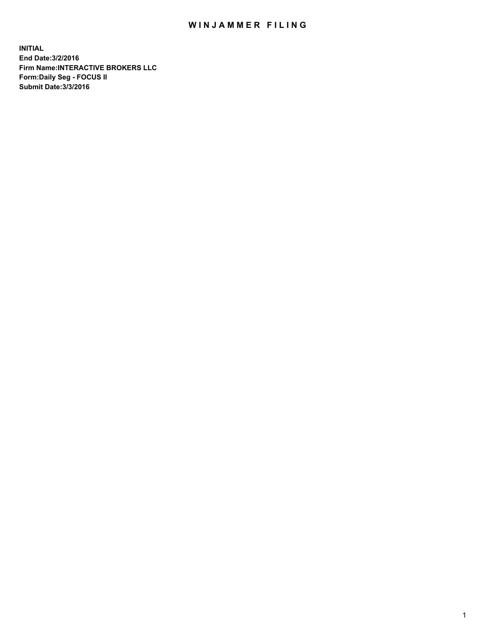## WIN JAMMER FILING

**INITIAL End Date:3/2/2016 Firm Name:INTERACTIVE BROKERS LLC Form:Daily Seg - FOCUS II Submit Date:3/3/2016**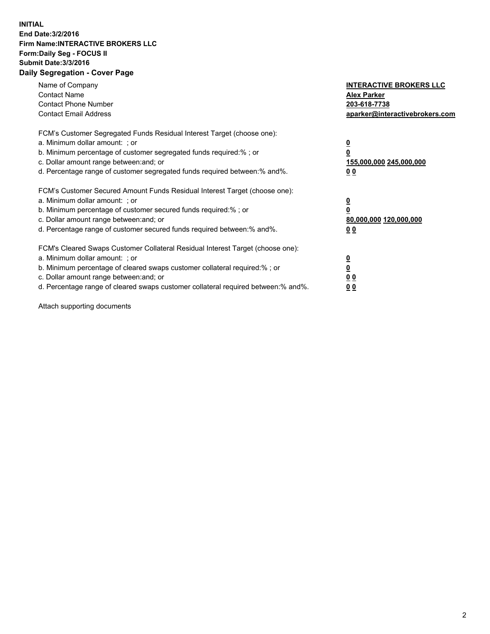## **INITIAL End Date:3/2/2016 Firm Name:INTERACTIVE BROKERS LLC Form:Daily Seg - FOCUS II Submit Date:3/3/2016 Daily Segregation - Cover Page**

| Name of Company<br><b>Contact Name</b><br><b>Contact Phone Number</b><br><b>Contact Email Address</b>                                                                                                                                                                                                                          | <b>INTERACTIVE BROKERS LLC</b><br><b>Alex Parker</b><br>203-618-7738<br>aparker@interactivebrokers.com |
|--------------------------------------------------------------------------------------------------------------------------------------------------------------------------------------------------------------------------------------------------------------------------------------------------------------------------------|--------------------------------------------------------------------------------------------------------|
| FCM's Customer Segregated Funds Residual Interest Target (choose one):<br>a. Minimum dollar amount: ; or<br>b. Minimum percentage of customer segregated funds required:%; or<br>c. Dollar amount range between: and; or<br>d. Percentage range of customer segregated funds required between:% and%.                          | <u>0</u><br>155,000,000 245,000,000<br><u>00</u>                                                       |
| FCM's Customer Secured Amount Funds Residual Interest Target (choose one):<br>a. Minimum dollar amount: ; or<br>b. Minimum percentage of customer secured funds required:%; or<br>c. Dollar amount range between: and; or<br>d. Percentage range of customer secured funds required between:% and%.                            | <u>0</u><br>80,000,000 120,000,000<br>0 <sub>0</sub>                                                   |
| FCM's Cleared Swaps Customer Collateral Residual Interest Target (choose one):<br>a. Minimum dollar amount: ; or<br>b. Minimum percentage of cleared swaps customer collateral required:% ; or<br>c. Dollar amount range between: and; or<br>d. Percentage range of cleared swaps customer collateral required between:% and%. | ₫<br>0 <sub>0</sub><br>0 <sub>0</sub>                                                                  |

Attach supporting documents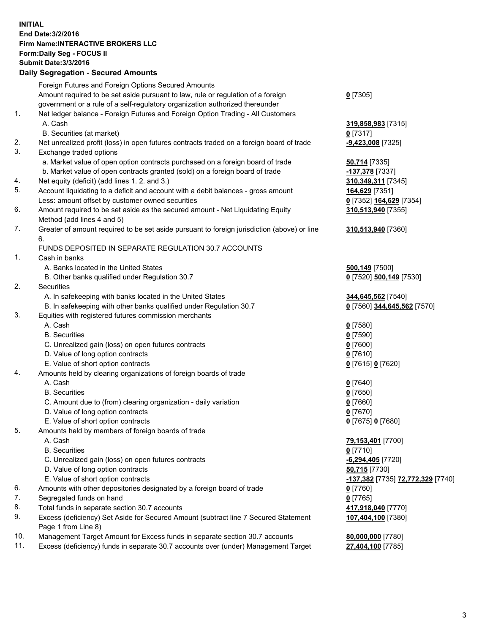## **INITIAL End Date:3/2/2016 Firm Name:INTERACTIVE BROKERS LLC Form:Daily Seg - FOCUS II Submit Date:3/3/2016 Daily Segregation - Secured Amounts**

|     | Foreign Futures and Foreign Options Secured Amounts                                         |                                                             |
|-----|---------------------------------------------------------------------------------------------|-------------------------------------------------------------|
|     | Amount required to be set aside pursuant to law, rule or regulation of a foreign            | $0$ [7305]                                                  |
|     | government or a rule of a self-regulatory organization authorized thereunder                |                                                             |
| 1.  | Net ledger balance - Foreign Futures and Foreign Option Trading - All Customers             |                                                             |
|     | A. Cash                                                                                     | 319,858,983 [7315]                                          |
|     | B. Securities (at market)                                                                   | $0$ [7317]                                                  |
| 2.  | Net unrealized profit (loss) in open futures contracts traded on a foreign board of trade   | -9,423,008 [7325]                                           |
| 3.  | Exchange traded options                                                                     |                                                             |
|     | a. Market value of open option contracts purchased on a foreign board of trade              | 50,714 [7335]                                               |
|     | b. Market value of open contracts granted (sold) on a foreign board of trade                | -137,378 [7337]                                             |
| 4.  | Net equity (deficit) (add lines 1.2. and 3.)                                                | 310, 349, 311 [7345]                                        |
| 5.  | Account liquidating to a deficit and account with a debit balances - gross amount           | 164,629 [7351]                                              |
|     | Less: amount offset by customer owned securities                                            | 0 [7352] 164,629 [7354]                                     |
| 6.  | Amount required to be set aside as the secured amount - Net Liquidating Equity              | 310,513,940 [7355]                                          |
|     |                                                                                             |                                                             |
| 7.  | Method (add lines 4 and 5)                                                                  |                                                             |
|     | Greater of amount required to be set aside pursuant to foreign jurisdiction (above) or line | 310,513,940 [7360]                                          |
|     | 6.                                                                                          |                                                             |
|     | FUNDS DEPOSITED IN SEPARATE REGULATION 30.7 ACCOUNTS                                        |                                                             |
| 1.  | Cash in banks                                                                               |                                                             |
|     | A. Banks located in the United States                                                       | 500,149 [7500]                                              |
|     | B. Other banks qualified under Regulation 30.7                                              | 0 [7520] 500,149 [7530]                                     |
| 2.  | Securities                                                                                  |                                                             |
|     | A. In safekeeping with banks located in the United States                                   | 344,645,562 [7540]                                          |
|     | B. In safekeeping with other banks qualified under Regulation 30.7                          | 0 [7560] 344,645,562 [7570]                                 |
| 3.  | Equities with registered futures commission merchants                                       |                                                             |
|     | A. Cash                                                                                     | $0$ [7580]                                                  |
|     | <b>B.</b> Securities                                                                        | $0$ [7590]                                                  |
|     | C. Unrealized gain (loss) on open futures contracts                                         | $0$ [7600]                                                  |
|     | D. Value of long option contracts                                                           | $0$ [7610]                                                  |
|     | E. Value of short option contracts                                                          | 0 [7615] 0 [7620]                                           |
| 4.  | Amounts held by clearing organizations of foreign boards of trade                           |                                                             |
|     | A. Cash                                                                                     | $0$ [7640]                                                  |
|     | <b>B.</b> Securities                                                                        | $0$ [7650]                                                  |
|     | C. Amount due to (from) clearing organization - daily variation                             | $0$ [7660]                                                  |
|     | D. Value of long option contracts                                                           | $0$ [7670]                                                  |
|     | E. Value of short option contracts                                                          | 0 [7675] 0 [7680]                                           |
| 5.  | Amounts held by members of foreign boards of trade                                          |                                                             |
|     | A. Cash                                                                                     | 79,153,401 [7700]                                           |
|     | <b>B.</b> Securities                                                                        | $0$ [7710]                                                  |
|     | C. Unrealized gain (loss) on open futures contracts                                         | -6,294,405 [7720]                                           |
|     | D. Value of long option contracts                                                           | 50,715 [7730]                                               |
|     | E. Value of short option contracts                                                          | <mark>-137,382</mark> [7735] <mark>72,772,329</mark> [7740] |
| 6.  | Amounts with other depositories designated by a foreign board of trade                      | $0$ [7760]                                                  |
| 7.  | Segregated funds on hand                                                                    | $0$ [7765]                                                  |
| 8.  | Total funds in separate section 30.7 accounts                                               | 417,918,040 [7770]                                          |
| 9.  | Excess (deficiency) Set Aside for Secured Amount (subtract line 7 Secured Statement         | 107,404,100 [7380]                                          |
|     | Page 1 from Line 8)                                                                         |                                                             |
| 10. | Management Target Amount for Excess funds in separate section 30.7 accounts                 | 80,000,000 [7780]                                           |
| 11. | Excess (deficiency) funds in separate 30.7 accounts over (under) Management Target          | 27,404,100 [7785]                                           |
|     |                                                                                             |                                                             |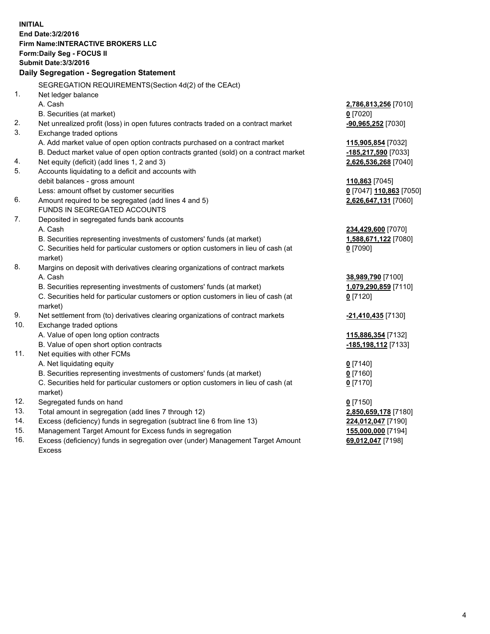**INITIAL End Date:3/2/2016 Firm Name:INTERACTIVE BROKERS LLC Form:Daily Seg - FOCUS II Submit Date:3/3/2016 Daily Segregation - Segregation Statement** SEGREGATION REQUIREMENTS(Section 4d(2) of the CEAct) 1. Net ledger balance A. Cash **2,786,813,256** [7010] B. Securities (at market) **0** [7020] 2. Net unrealized profit (loss) in open futures contracts traded on a contract market **-90,965,252** [7030] 3. Exchange traded options A. Add market value of open option contracts purchased on a contract market **115,905,854** [7032] B. Deduct market value of open option contracts granted (sold) on a contract market **-185,217,590** [7033] 4. Net equity (deficit) (add lines 1, 2 and 3) **2,626,536,268** [7040] 5. Accounts liquidating to a deficit and accounts with debit balances - gross amount **110,863** [7045] Less: amount offset by customer securities **0** [7047] **110,863** [7050] 6. Amount required to be segregated (add lines 4 and 5) **2,626,647,131** [7060] FUNDS IN SEGREGATED ACCOUNTS 7. Deposited in segregated funds bank accounts A. Cash **234,429,600** [7070] B. Securities representing investments of customers' funds (at market) **1,588,671,122** [7080] C. Securities held for particular customers or option customers in lieu of cash (at market) **0** [7090] 8. Margins on deposit with derivatives clearing organizations of contract markets A. Cash **38,989,790** [7100] B. Securities representing investments of customers' funds (at market) **1,079,290,859** [7110] C. Securities held for particular customers or option customers in lieu of cash (at market) **0** [7120] 9. Net settlement from (to) derivatives clearing organizations of contract markets **-21,410,435** [7130] 10. Exchange traded options A. Value of open long option contracts **115,886,354** [7132] B. Value of open short option contracts **-185,198,112** [7133] 11. Net equities with other FCMs A. Net liquidating equity **0** [7140] B. Securities representing investments of customers' funds (at market) **0** [7160] C. Securities held for particular customers or option customers in lieu of cash (at market) **0** [7170] 12. Segregated funds on hand **0** [7150] 13. Total amount in segregation (add lines 7 through 12) **2,850,659,178** [7180] 14. Excess (deficiency) funds in segregation (subtract line 6 from line 13) **224,012,047** [7190] 15. Management Target Amount for Excess funds in segregation **155,000,000** [7194] **69,012,047** [7198]

16. Excess (deficiency) funds in segregation over (under) Management Target Amount Excess